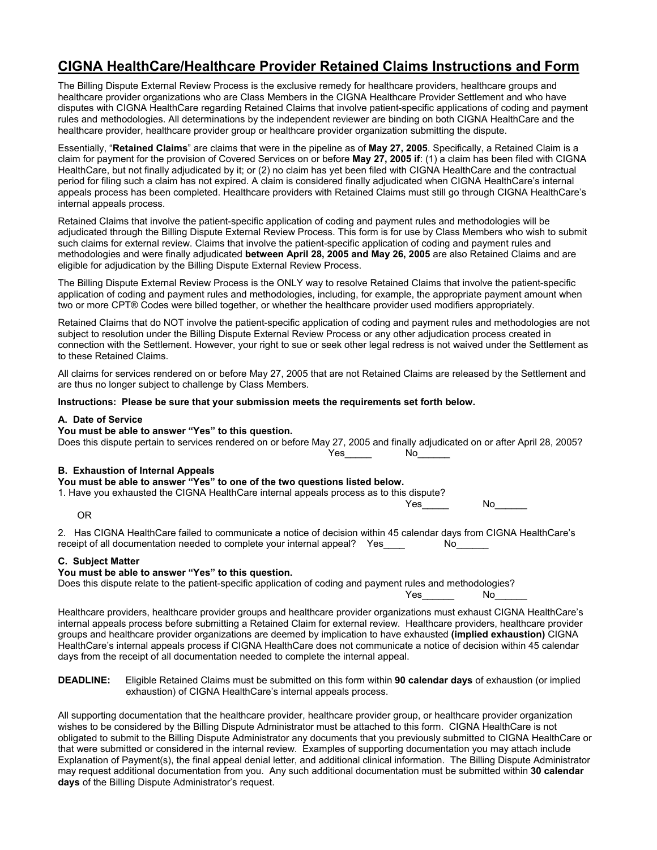# **CIGNA HealthCare/Healthcare Provider Retained Claims Instructions and Form**

The Billing Dispute External Review Process is the exclusive remedy for healthcare providers, healthcare groups and healthcare provider organizations who are Class Members in the CIGNA Healthcare Provider Settlement and who have disputes with CIGNA HealthCare regarding Retained Claims that involve patient-specific applications of coding and payment rules and methodologies. All determinations by the independent reviewer are binding on both CIGNA HealthCare and the healthcare provider, healthcare provider group or healthcare provider organization submitting the dispute.

Essentially, "**Retained Claims**" are claims that were in the pipeline as of **May 27, 2005**. Specifically, a Retained Claim is a claim for payment for the provision of Covered Services on or before **May 27, 2005 if**: (1) a claim has been filed with CIGNA HealthCare, but not finally adjudicated by it; or (2) no claim has yet been filed with CIGNA HealthCare and the contractual period for filing such a claim has not expired. A claim is considered finally adjudicated when CIGNA HealthCare's internal appeals process has been completed. Healthcare providers with Retained Claims must still go through CIGNA HealthCare's internal appeals process.

Retained Claims that involve the patient-specific application of coding and payment rules and methodologies will be adjudicated through the Billing Dispute External Review Process. This form is for use by Class Members who wish to submit such claims for external review. Claims that involve the patient-specific application of coding and payment rules and methodologies and were finally adjudicated **between April 28, 2005 and May 26, 2005** are also Retained Claims and are eligible for adjudication by the Billing Dispute External Review Process.

The Billing Dispute External Review Process is the ONLY way to resolve Retained Claims that involve the patient-specific application of coding and payment rules and methodologies, including, for example, the appropriate payment amount when two or more CPT® Codes were billed together, or whether the healthcare provider used modifiers appropriately.

Retained Claims that do NOT involve the patient-specific application of coding and payment rules and methodologies are not subject to resolution under the Billing Dispute External Review Process or any other adjudication process created in connection with the Settlement. However, your right to sue or seek other legal redress is not waived under the Settlement as to these Retained Claims.

All claims for services rendered on or before May 27, 2005 that are not Retained Claims are released by the Settlement and are thus no longer subject to challenge by Class Members.

### **Instructions: Please be sure that your submission meets the requirements set forth below.**

### **A. Date of Service**

**You must be able to answer "Yes" to this question.**

Does this dispute pertain to services rendered on or before May 27, 2005 and finally adjudicated on or after April 28, 2005? Yes<sup>ta</sup> No

#### **B. Exhaustion of Internal Appeals**

| You must be able to answer "Yes" to one of the two questions listed below.              |     |  |
|-----------------------------------------------------------------------------------------|-----|--|
| 1. Have you exhausted the CIGNA HealthCare internal appeals process as to this dispute? |     |  |
| Yes                                                                                     | No. |  |

OR

2. Has CIGNA HealthCare failed to communicate a notice of decision within 45 calendar days from CIGNA HealthCare's receipt of all documentation needed to complete your internal appeal? Yes\_\_\_\_\_ No\_

#### **C. Subject Matter**

### **You must be able to answer "Yes" to this question.**

Does this dispute relate to the patient-specific application of coding and payment rules and methodologies?

Yes<sup>ta</sup> No

Healthcare providers, healthcare provider groups and healthcare provider organizations must exhaust CIGNA HealthCare's internal appeals process before submitting a Retained Claim for external review. Healthcare providers, healthcare provider groups and healthcare provider organizations are deemed by implication to have exhausted **(implied exhaustion)** CIGNA HealthCare's internal appeals process if CIGNA HealthCare does not communicate a notice of decision within 45 calendar days from the receipt of all documentation needed to complete the internal appeal.

**DEADLINE:** Eligible Retained Claims must be submitted on this form within **90 calendar days** of exhaustion (or implied exhaustion) of CIGNA HealthCare's internal appeals process.

All supporting documentation that the healthcare provider, healthcare provider group, or healthcare provider organization wishes to be considered by the Billing Dispute Administrator must be attached to this form. CIGNA HealthCare is not obligated to submit to the Billing Dispute Administrator any documents that you previously submitted to CIGNA HealthCare or that were submitted or considered in the internal review. Examples of supporting documentation you may attach include Explanation of Payment(s), the final appeal denial letter, and additional clinical information. The Billing Dispute Administrator may request additional documentation from you. Any such additional documentation must be submitted within **30 calendar days** of the Billing Dispute Administrator's request.